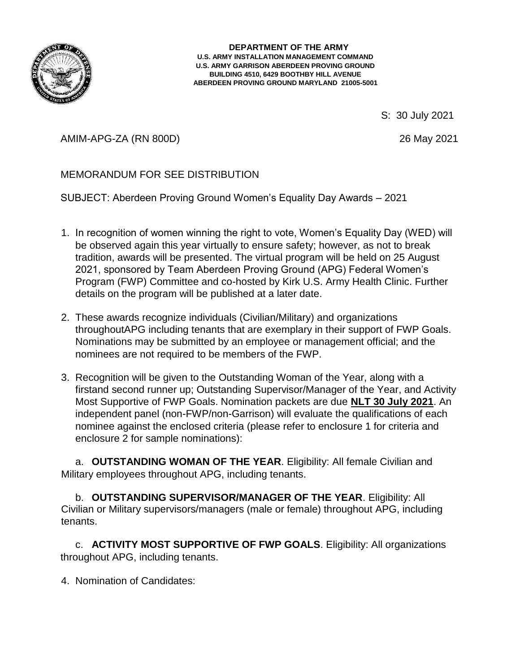

#### **DEPARTMENT OF THE ARMY U.S. ARMY INSTALLATION MANAGEMENT COMMAND U.S. ARMY GARRISON ABERDEEN PROVING GROUND BUILDING 4510, 6429 BOOTHBY HILL AVENUE ABERDEEN PROVING GROUND MARYLAND 21005-5001**

S: 30 July 2021

AMIM-APG-ZA (RN 800D) 26 May 2021

# MEMORANDUM FOR SEE DISTRIBUTION

SUBJECT: Aberdeen Proving Ground Women's Equality Day Awards – 2021

- 1. In recognition of women winning the right to vote, Women's Equality Day (WED) will be observed again this year virtually to ensure safety; however, as not to break tradition, awards will be presented. The virtual program will be held on 25 August 2021, sponsored by Team Aberdeen Proving Ground (APG) Federal Women's Program (FWP) Committee and co-hosted by Kirk U.S. Army Health Clinic. Further details on the program will be published at a later date.
- 2. These awards recognize individuals (Civilian/Military) and organizations throughoutAPG including tenants that are exemplary in their support of FWP Goals. Nominations may be submitted by an employee or management official; and the nominees are not required to be members of the FWP.
- 3. Recognition will be given to the Outstanding Woman of the Year, along with a firstand second runner up; Outstanding Supervisor/Manager of the Year, and Activity Most Supportive of FWP Goals. Nomination packets are due **NLT 30 July 2021**. An independent panel (non-FWP/non-Garrison) will evaluate the qualifications of each nominee against the enclosed criteria (please refer to enclosure 1 for criteria and enclosure 2 for sample nominations):

a. **OUTSTANDING WOMAN OF THE YEAR**. Eligibility: All female Civilian and Military employees throughout APG, including tenants.

b. **OUTSTANDING SUPERVISOR/MANAGER OF THE YEAR**. Eligibility: All Civilian or Military supervisors/managers (male or female) throughout APG, including tenants.

c. **ACTIVITY MOST SUPPORTIVE OF FWP GOALS**. Eligibility: All organizations throughout APG, including tenants.

4. Nomination of Candidates: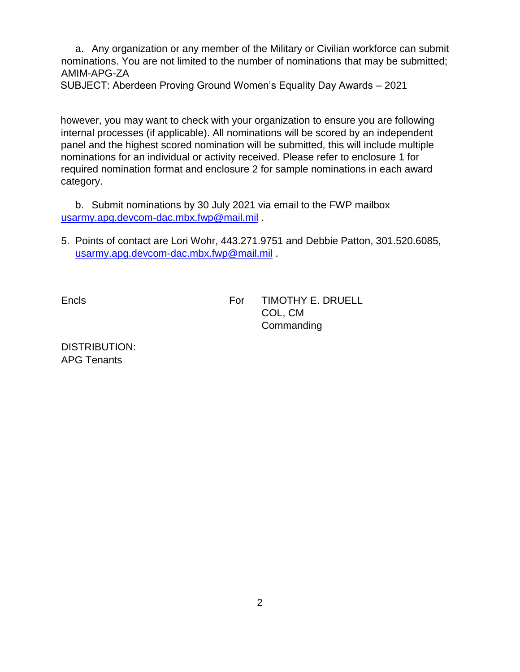a. Any organization or any member of the Military or Civilian workforce can submit nominations. You are not limited to the number of nominations that may be submitted; AMIM-APG-ZA

SUBJECT: Aberdeen Proving Ground Women's Equality Day Awards – 2021

however, you may want to check with your organization to ensure you are following internal processes (if applicable). All nominations will be scored by an independent panel and the highest scored nomination will be submitted, this will include multiple nominations for an individual or activity received. Please refer to enclosure 1 for required nomination format and enclosure 2 for sample nominations in each award category.

b. Submit nominations by 30 July 2021 via email to the FWP mailbox usarmy.apg.devcom-dac.mbx.fwp@mail.mil .

5. Points of contact are Lori Wohr, 443.271.9751 and Debbie Patton, 301.520.6085, usarmy.apg.devcom-dac.mbx.fwp@mail.mil .

Encls

For TIMOTHY E. DRUELL COL, CM **Commanding** 

DISTRIBUTION: APG Tenants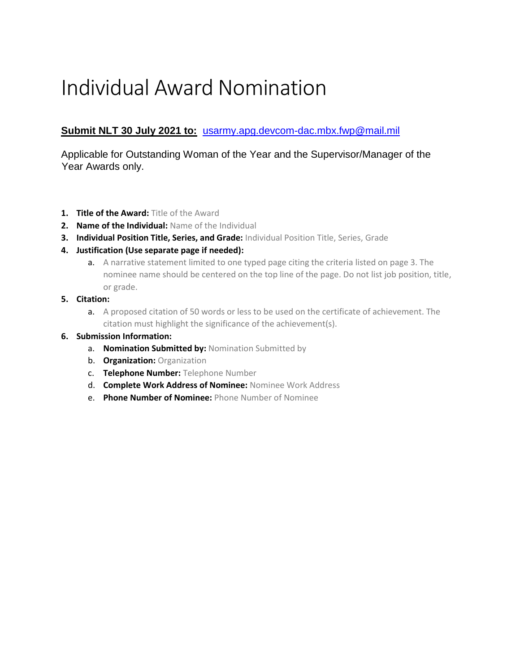# Individual Award Nomination

## **Submit NLT 30 July 2021 to:** [usarmy.apg.devcom-dac.mbx.fwp@mail.mil](mailto:usarmy.apg.devcom-dac.mbx.fwp@mail.mil)

Applicable for Outstanding Woman of the Year and the Supervisor/Manager of the Year Awards only.

- **1. Title of the Award:** Title of the Award
- **2. Name of the Individual:** Name of the Individual
- **3. Individual Position Title, Series, and Grade:** Individual Position Title, Series, Grade
- **4. Justification (Use separate page if needed):** 
	- a. A narrative statement limited to one typed page citing the criteria listed on page 3. The nominee name should be centered on the top line of the page. Do not list job position, title, or grade.
- **5. Citation:** 
	- a. A proposed citation of 50 words or less to be used on the certificate of achievement. The citation must highlight the significance of the achievement(s).

#### **6. Submission Information:**

- a. **Nomination Submitted by:** Nomination Submitted by
- b. **Organization:** Organization
- c. **Telephone Number:** Telephone Number
- d. **Complete Work Address of Nominee:** Nominee Work Address
- e. **Phone Number of Nominee:** Phone Number of Nominee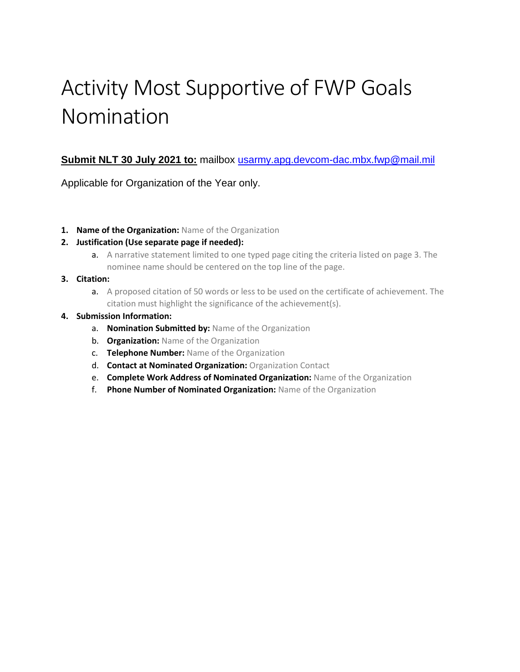# Activity Most Supportive of FWP Goals Nomination

### **Submit NLT 30 July 2021 to:** mailbox [usarmy.apg.devcom-dac.mbx.fwp@mail.mil](mailto:usarmy.apg.devcom-dac.mbx.fwp@mail.mil)

Applicable for Organization of the Year only.

**1. Name of the Organization:** Name of the Organization

#### **2. Justification (Use separate page if needed):**

a. A narrative statement limited to one typed page citing the criteria listed on page 3. The nominee name should be centered on the top line of the page.

#### **3. Citation:**

a. A proposed citation of 50 words or less to be used on the certificate of achievement. The citation must highlight the significance of the achievement(s).

#### **4. Submission Information:**

- a. **Nomination Submitted by:** Name of the Organization
- b. **Organization:** Name of the Organization
- c. **Telephone Number:** Name of the Organization
- d. **Contact at Nominated Organization:** Organization Contact
- e. **Complete Work Address of Nominated Organization:** Name of the Organization
- f. **Phone Number of Nominated Organization:** Name of the Organization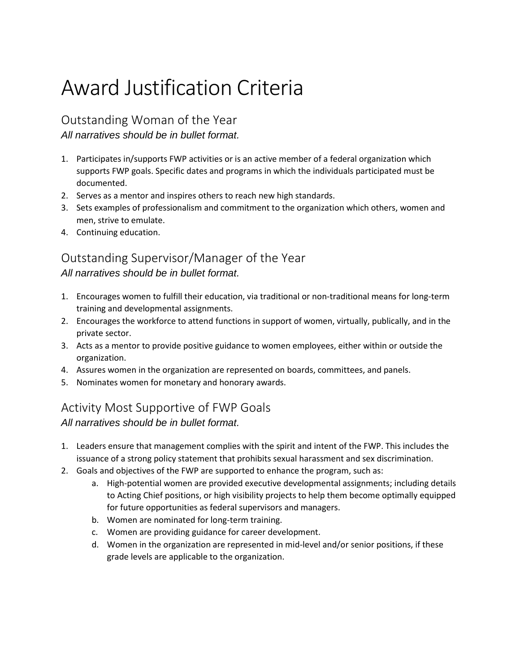# Award Justification Criteria

Outstanding Woman of the Year

*All narratives should be in bullet format.*

- 1. Participates in/supports FWP activities or is an active member of a federal organization which supports FWP goals. Specific dates and programs in which the individuals participated must be documented.
- 2. Serves as a mentor and inspires others to reach new high standards.
- 3. Sets examples of professionalism and commitment to the organization which others, women and men, strive to emulate.
- 4. Continuing education.

# Outstanding Supervisor/Manager of the Year *All narratives should be in bullet format.*

- 1. Encourages women to fulfill their education, via traditional or non-traditional means for long-term training and developmental assignments.
- 2. Encourages the workforce to attend functions in support of women, virtually, publically, and in the private sector.
- 3. Acts as a mentor to provide positive guidance to women employees, either within or outside the organization.
- 4. Assures women in the organization are represented on boards, committees, and panels.
- 5. Nominates women for monetary and honorary awards.

# Activity Most Supportive of FWP Goals

*All narratives should be in bullet format.*

- 1. Leaders ensure that management complies with the spirit and intent of the FWP. This includes the issuance of a strong policy statement that prohibits sexual harassment and sex discrimination.
- 2. Goals and objectives of the FWP are supported to enhance the program, such as:
	- a. High-potential women are provided executive developmental assignments; including details to Acting Chief positions, or high visibility projects to help them become optimally equipped for future opportunities as federal supervisors and managers.
	- b. Women are nominated for long-term training.
	- c. Women are providing guidance for career development.
	- d. Women in the organization are represented in mid-level and/or senior positions, if these grade levels are applicable to the organization.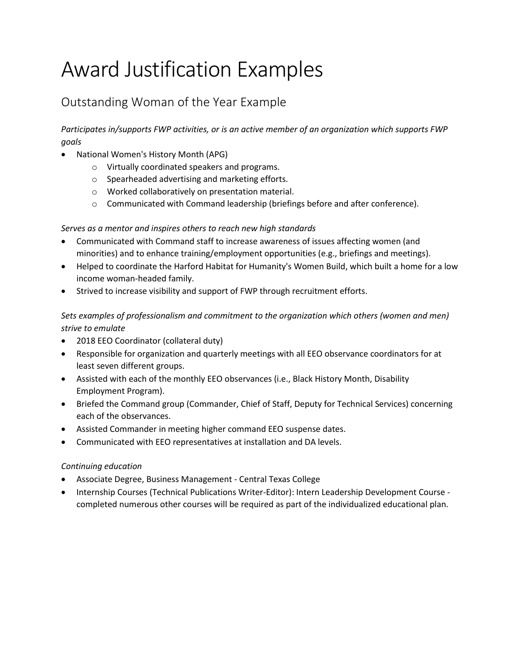# Award Justification Examples

# Outstanding Woman of the Year Example

*Participates in/supports FWP activities, or is an active member of an organization which supports FWP goals*

- National Women's History Month (APG)
	- o Virtually coordinated speakers and programs.
	- o Spearheaded advertising and marketing efforts.
	- o Worked collaboratively on presentation material.
	- o Communicated with Command leadership (briefings before and after conference).

#### *Serves as a mentor and inspires others to reach new high standards*

- Communicated with Command staff to increase awareness of issues affecting women (and minorities) and to enhance training/employment opportunities (e.g., briefings and meetings).
- Helped to coordinate the Harford Habitat for Humanity's Women Build, which built a home for a low income woman-headed family.
- Strived to increase visibility and support of FWP through recruitment efforts.

### *Sets examples of professionalism and commitment to the organization which others (women and men) strive to emulate*

- 2018 EEO Coordinator (collateral duty)
- Responsible for organization and quarterly meetings with all EEO observance coordinators for at least seven different groups.
- Assisted with each of the monthly EEO observances (i.e., Black History Month, Disability Employment Program).
- Briefed the Command group (Commander, Chief of Staff, Deputy for Technical Services) concerning each of the observances.
- Assisted Commander in meeting higher command EEO suspense dates.
- Communicated with EEO representatives at installation and DA levels.

#### *Continuing education*

- Associate Degree, Business Management Central Texas College
- Internship Courses (Technical Publications Writer-Editor): Intern Leadership Development Course completed numerous other courses will be required as part of the individualized educational plan.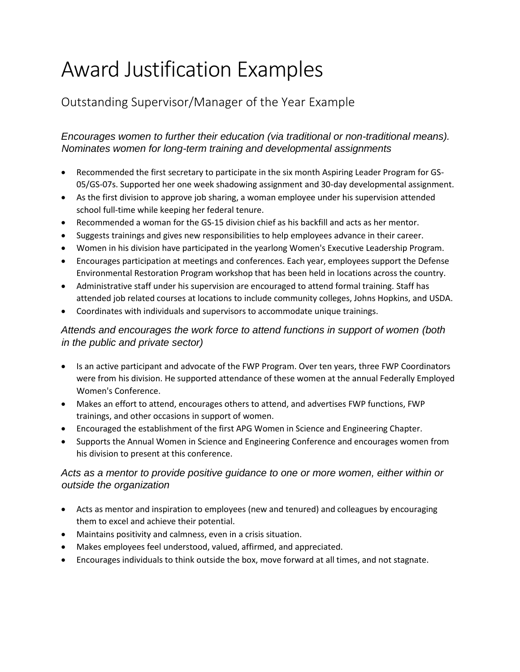# Award Justification Examples

# Outstanding Supervisor/Manager of the Year Example

## *Encourages women to further their education (via traditional or non-traditional means). Nominates women for long-term training and developmental assignments*

- Recommended the first secretary to participate in the six month Aspiring Leader Program for GS-05/GS-07s. Supported her one week shadowing assignment and 30-day developmental assignment.
- As the first division to approve job sharing, a woman employee under his supervision attended school full-time while keeping her federal tenure.
- Recommended a woman for the GS-15 division chief as his backfill and acts as her mentor.
- Suggests trainings and gives new responsibilities to help employees advance in their career.
- Women in his division have participated in the yearlong Women's Executive Leadership Program.
- Encourages participation at meetings and conferences. Each year, employees support the Defense Environmental Restoration Program workshop that has been held in locations across the country.
- Administrative staff under his supervision are encouraged to attend formal training. Staff has attended job related courses at locations to include community colleges, Johns Hopkins, and USDA.
- Coordinates with individuals and supervisors to accommodate unique trainings.

# *Attends and encourages the work force to attend functions in support of women (both in the public and private sector)*

- Is an active participant and advocate of the FWP Program. Over ten years, three FWP Coordinators were from his division. He supported attendance of these women at the annual Federally Employed Women's Conference.
- Makes an effort to attend, encourages others to attend, and advertises FWP functions, FWP trainings, and other occasions in support of women.
- Encouraged the establishment of the first APG Women in Science and Engineering Chapter.
- Supports the Annual Women in Science and Engineering Conference and encourages women from his division to present at this conference.

## *Acts as a mentor to provide positive guidance to one or more women, either within or outside the organization*

- Acts as mentor and inspiration to employees (new and tenured) and colleagues by encouraging them to excel and achieve their potential.
- Maintains positivity and calmness, even in a crisis situation.
- Makes employees feel understood, valued, affirmed, and appreciated.
- Encourages individuals to think outside the box, move forward at all times, and not stagnate.